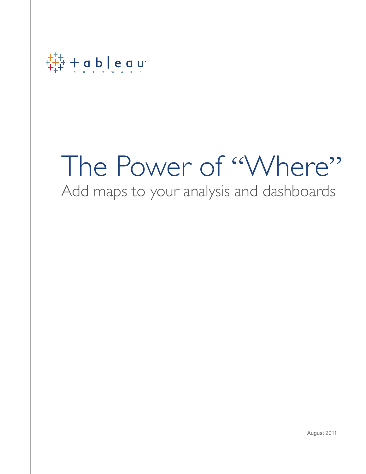

# The Power of "Where"

Add maps to your analysis and dashboards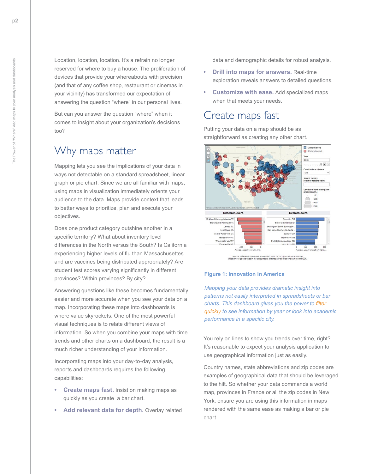Location, location, location. It's a refrain no longer reserved for where to buy a house. The proliferation of devices that provide your whereabouts with precision (and that of any coffee shop, restaurant or cinemas in your vicinity) has transformed our expectation of answering the question "where" in our personal lives.

But can you answer the question "where" when it comes to insight about your organization's decisions too?

#### Why maps matter

Mapping lets you see the implications of your data in ways not detectable on a standard spreadsheet, linear graph or pie chart. Since we are all familiar with maps, using maps in visualization immediately orients your audience to the data. Maps provide context that leads to better ways to prioritize, plan and execute your objectives.

Does one product category outshine another in a specific territory? What about inventory level differences in the North versus the South? Is California experiencing higher levels of flu than Massachusettes and are vaccines being distributed appropriately? Are student test scores varying significantly in different provinces? Within provinces? By city?

Answering questions like these becomes fundamentally easier and more accurate when you see your data on a map. Incorporating these maps into dashboards is where value skyrockets. One of the most powerful visual techniques is to relate different views of information. So when you combine your maps with time trends and other charts on a dashboard, the result is a much richer understanding of your information.

Incorporating maps into your day-to-day analysis, reports and dashboards requires the following capabilities:

- **Create maps fast.** Insist on making maps as quickly as you create a bar chart.
- **• Add relevant data for depth.** Overlay related

data and demographic details for robust analysis.

- **Drill into maps for answers.** Real-time exploration reveals answers to detailed questions.
- **Customize with ease.** Add specialized maps when that meets your needs.

#### Create maps fast

Putting your data on a map should be as straightforward as creating any other chart.



#### **Figure 1: Innovation in America**

*Mapping your data provides dramatic insight into patterns not easily interpreted in spreadsheets or bar charts. This dashboard gives you the power to [filter](http://www.tableausoftware.com/public/search/node/innovation%20america)  [quickly](http://www.tableausoftware.com/public/search/node/innovation%20america) to see information by year or look into academic performance in a specific city.*

You rely on lines to show you trends over time, right? It's reasonable to expect your analysis application to use geographical information just as easily.

Country names, state abbreviations and zip codes are examples of geographical data that should be leveraged to the hilt. So whether your data commands a world map, provinces in France or all the zip codes in New York, ensure you are using this information in maps rendered with the same ease as making a bar or pie chart.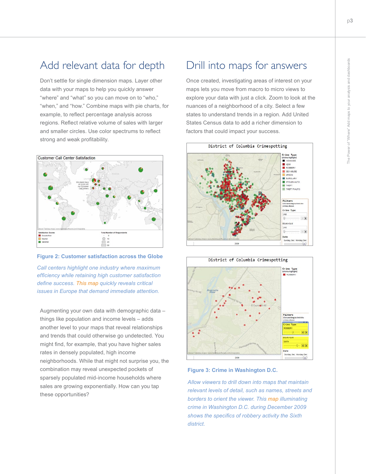## Add relevant data for depth

Don't settle for single dimension maps. Layer other data with your maps to help you quickly answer "where" and "what" so you can move on to "who," "when," and "how." Combine maps with pie charts, for example, to reflect percentage analysis across regions. Reflect relative volume of sales with larger and smaller circles. Use color spectrums to reflect strong and weak profitability.





*Call centers highlight one industry where maximum efficiency while retaining high customer satisfaction define success. [This map](http://www.tableausoftware.com/solutions/mapping) quickly reveals critical issues in Europe that demand immediate attention.* 

Augmenting your own data with demographic data – things like population and income levels – adds another level to your maps that reveal relationships and trends that could otherwise go undetected. You might find, for example, that you have higher sales rates in densely populated, high income neighborhoods. While that might not surprise you, the combination may reveal unexpected pockets of sparsely populated mid-income households where sales are growing exponentially. How can you tap these opportunities?

#### Drill into maps for answers

Once created, investigating areas of interest on your maps lets you move from macro to micro views to explore your data with just a click. Zoom to look at the nuances of a neighborhood of a city. Select a few states to understand trends in a region. Add United States Census data to add a richer dimension to factors that could impact your success.





**Figure 3: Crime in Washington D.C.**

*Allow viewers to drill down into maps that maintain relevant levels of detail, such as names, streets and borders to orient the viewer. This [map](http://www.tableausoftware.com/public/gallery/crimespotting) illuminating crime in Washington D.C. during December 2009 shows the specifics of robbery activity the Sixth district.*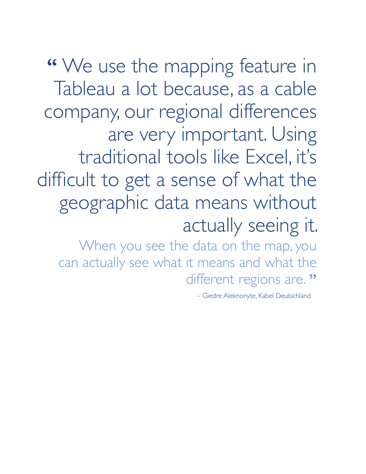**"** We use the mapping feature in Tableau a lot because, as a cable company, our regional differences are very important. Using traditional tools like Excel, it's difficult to get a sense of what the geographic data means without actually seeing it.

When you see the data on the map, you can actually see what it means and what the different regions are."

– Giedre Aleknonyte, Kabel Deutschland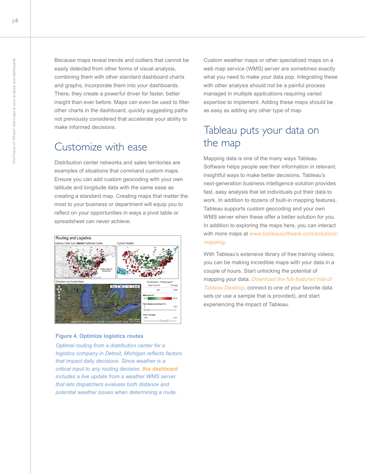Because maps reveal trends and outliers that cannot be easily detected from other forms of visual analysis, combining them with other standard dashboard charts and graphs, incorporate them into your dashboards. There, they create a powerful driver for faster, better insight than ever before. Maps can even be used to filter other charts in the dashboard, quickly suggesting paths not previously considered that accelerate your ability to make informed decisions.

#### Customize with ease

Distribution center networks and sales territories are examples of situations that command custom maps. Ensure you can add custom geocoding with your own latitude and longitude data with the same ease as creating a standard map. Creating maps that matter the most to your business or department will equip you to reflect on your opportunities in ways a pivot table or spreadsheet can never achieve.



#### **Figure 4. Optimize logistics routes**

*Optimal routing from a distribution center for a logistics company in Detroit, Michigan reflects factors that impact daily decisions. Since weather is a critical input to any routing decision, [this dashboard](http://www.tableausoftware.com/solutions/supply-chain) includes a live update from a weather WMS server that lets dispatchers evaluate both distance and potential weather issues when determining a route.*

Custom weather maps or other specialized maps on a web map service (WMS) server are sometimes exactly what you need to make your data pop. Integrating these with other analysis should not be a painful process managed in multiple applications requiring varied expertise to implement. Adding these maps should be as easy as adding any other type of map.

## Tableau puts your data on the map

Mapping data is one of the many ways Tableau Software helps people see their information in relevant, insightful ways to make better decisions. Tableau's next-generation business intelligence solution provides fast, easy analysis that let individuals put their data to work. In addition to dozens of built-in mapping features, Tableau supports custom geocoding and your own WMS server when these offer a better solution for you. In addition to exploring the maps here, you can interact with more maps at *[www.tableausoftware.com/solutions/](http://www.tableausoftware.com/solutions/mapping) [mapping](http://www.tableausoftware.com/solutions/mapping)*.

With Tableau's extensive library of free training videos, you can be making incredible maps with your data in a couple of hours. Start unlocking the potential of mapping your data. *[Download the full-featured trial of](http://www.tableausoftware.com/products/desktop/try)  [Tableau Desktop](http://www.tableausoftware.com/products/desktop/try)*, connect to one of your favorite data sets (or use a sample that is provided), and start experiencing the impact of Tableau.